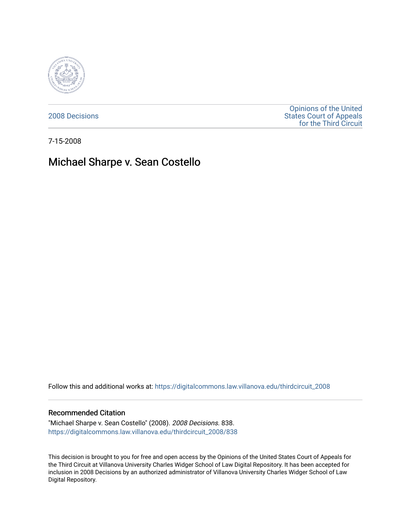

[2008 Decisions](https://digitalcommons.law.villanova.edu/thirdcircuit_2008)

[Opinions of the United](https://digitalcommons.law.villanova.edu/thirdcircuit)  [States Court of Appeals](https://digitalcommons.law.villanova.edu/thirdcircuit)  [for the Third Circuit](https://digitalcommons.law.villanova.edu/thirdcircuit) 

7-15-2008

# Michael Sharpe v. Sean Costello

Follow this and additional works at: [https://digitalcommons.law.villanova.edu/thirdcircuit\\_2008](https://digitalcommons.law.villanova.edu/thirdcircuit_2008?utm_source=digitalcommons.law.villanova.edu%2Fthirdcircuit_2008%2F838&utm_medium=PDF&utm_campaign=PDFCoverPages) 

#### Recommended Citation

"Michael Sharpe v. Sean Costello" (2008). 2008 Decisions. 838. [https://digitalcommons.law.villanova.edu/thirdcircuit\\_2008/838](https://digitalcommons.law.villanova.edu/thirdcircuit_2008/838?utm_source=digitalcommons.law.villanova.edu%2Fthirdcircuit_2008%2F838&utm_medium=PDF&utm_campaign=PDFCoverPages)

This decision is brought to you for free and open access by the Opinions of the United States Court of Appeals for the Third Circuit at Villanova University Charles Widger School of Law Digital Repository. It has been accepted for inclusion in 2008 Decisions by an authorized administrator of Villanova University Charles Widger School of Law Digital Repository.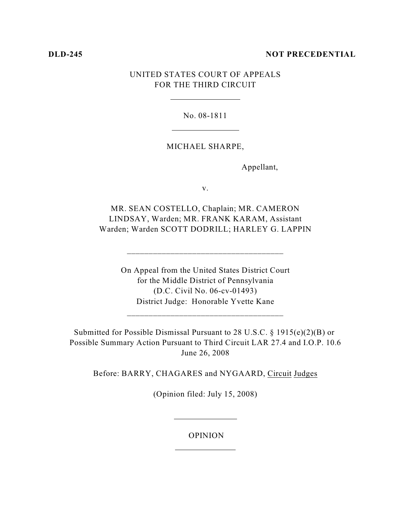### **DLD-245 NOT PRECEDENTIAL**

## UNITED STATES COURT OF APPEALS FOR THE THIRD CIRCUIT

No. 08-1811

### MICHAEL SHARPE,

Appellant,

v.

MR. SEAN COSTELLO, Chaplain; MR. CAMERON LINDSAY, Warden; MR. FRANK KARAM, Assistant Warden; Warden SCOTT DODRILL; HARLEY G. LAPPIN

\_\_\_\_\_\_\_\_\_\_\_\_\_\_\_\_\_\_\_\_\_\_\_\_\_\_\_\_\_\_\_\_\_\_\_\_

On Appeal from the United States District Court for the Middle District of Pennsylvania (D.C. Civil No. 06-cv-01493) District Judge: Honorable Yvette Kane

\_\_\_\_\_\_\_\_\_\_\_\_\_\_\_\_\_\_\_\_\_\_\_\_\_\_\_\_\_\_\_\_\_\_\_\_

Submitted for Possible Dismissal Pursuant to 28 U.S.C. § 1915(e)(2)(B) or Possible Summary Action Pursuant to Third Circuit LAR 27.4 and I.O.P. 10.6 June 26, 2008

Before: BARRY, CHAGARES and NYGAARD, Circuit Judges

(Opinion filed: July 15, 2008)

#### OPINION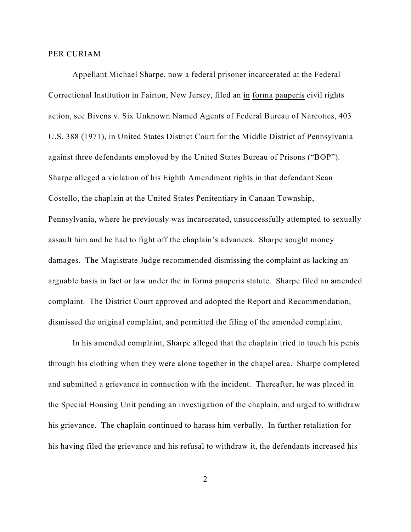#### PER CURIAM

Appellant Michael Sharpe, now a federal prisoner incarcerated at the Federal Correctional Institution in Fairton, New Jersey, filed an in forma pauperis civil rights action, see Bivens v. Six Unknown Named Agents of Federal Bureau of Narcotics, 403 U.S. 388 (1971), in United States District Court for the Middle District of Pennsylvania against three defendants employed by the United States Bureau of Prisons ("BOP"). Sharpe alleged a violation of his Eighth Amendment rights in that defendant Sean Costello, the chaplain at the United States Penitentiary in Canaan Township, Pennsylvania, where he previously was incarcerated, unsuccessfully attempted to sexually assault him and he had to fight off the chaplain's advances. Sharpe sought money damages. The Magistrate Judge recommended dismissing the complaint as lacking an arguable basis in fact or law under the in forma pauperis statute. Sharpe filed an amended complaint. The District Court approved and adopted the Report and Recommendation, dismissed the original complaint, and permitted the filing of the amended complaint.

In his amended complaint, Sharpe alleged that the chaplain tried to touch his penis through his clothing when they were alone together in the chapel area. Sharpe completed and submitted a grievance in connection with the incident. Thereafter, he was placed in the Special Housing Unit pending an investigation of the chaplain, and urged to withdraw his grievance. The chaplain continued to harass him verbally. In further retaliation for his having filed the grievance and his refusal to withdraw it, the defendants increased his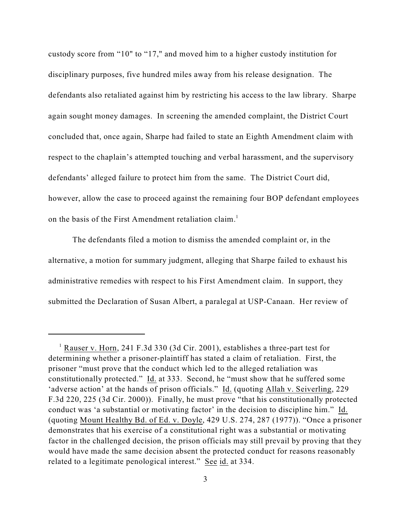custody score from "10" to "17," and moved him to a higher custody institution for disciplinary purposes, five hundred miles away from his release designation. The defendants also retaliated against him by restricting his access to the law library. Sharpe again sought money damages. In screening the amended complaint, the District Court concluded that, once again, Sharpe had failed to state an Eighth Amendment claim with respect to the chaplain's attempted touching and verbal harassment, and the supervisory defendants' alleged failure to protect him from the same. The District Court did, however, allow the case to proceed against the remaining four BOP defendant employees on the basis of the First Amendment retaliation claim.<sup>1</sup>

The defendants filed a motion to dismiss the amended complaint or, in the alternative, a motion for summary judgment, alleging that Sharpe failed to exhaust his administrative remedies with respect to his First Amendment claim. In support, they submitted the Declaration of Susan Albert, a paralegal at USP-Canaan. Her review of

<sup>&</sup>lt;sup>1</sup> Rauser v. Horn, 241 F.3d 330 (3d Cir. 2001), establishes a three-part test for determining whether a prisoner-plaintiff has stated a claim of retaliation. First, the prisoner "must prove that the conduct which led to the alleged retaliation was constitutionally protected." Id. at 333. Second, he "must show that he suffered some 'adverse action' at the hands of prison officials." Id. (quoting Allah v. Seiverling, 229 F.3d 220, 225 (3d Cir. 2000)). Finally, he must prove "that his constitutionally protected conduct was 'a substantial or motivating factor' in the decision to discipline him." Id. (quoting Mount Healthy Bd. of Ed. v. Doyle, 429 U.S. 274, 287 (1977)). "Once a prisoner demonstrates that his exercise of a constitutional right was a substantial or motivating factor in the challenged decision, the prison officials may still prevail by proving that they would have made the same decision absent the protected conduct for reasons reasonably related to a legitimate penological interest." See id. at 334.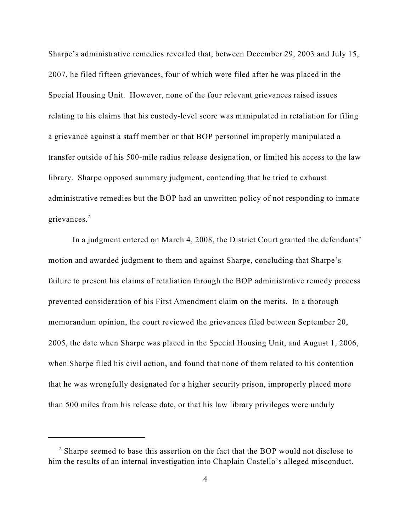Sharpe's administrative remedies revealed that, between December 29, 2003 and July 15, 2007, he filed fifteen grievances, four of which were filed after he was placed in the Special Housing Unit. However, none of the four relevant grievances raised issues relating to his claims that his custody-level score was manipulated in retaliation for filing a grievance against a staff member or that BOP personnel improperly manipulated a transfer outside of his 500-mile radius release designation, or limited his access to the law library. Sharpe opposed summary judgment, contending that he tried to exhaust administrative remedies but the BOP had an unwritten policy of not responding to inmate grievances.<sup>2</sup>

In a judgment entered on March 4, 2008, the District Court granted the defendants' motion and awarded judgment to them and against Sharpe, concluding that Sharpe's failure to present his claims of retaliation through the BOP administrative remedy process prevented consideration of his First Amendment claim on the merits. In a thorough memorandum opinion, the court reviewed the grievances filed between September 20, 2005, the date when Sharpe was placed in the Special Housing Unit, and August 1, 2006, when Sharpe filed his civil action, and found that none of them related to his contention that he was wrongfully designated for a higher security prison, improperly placed more than 500 miles from his release date, or that his law library privileges were unduly

 $\alpha$ <sup>2</sup> Sharpe seemed to base this assertion on the fact that the BOP would not disclose to him the results of an internal investigation into Chaplain Costello's alleged misconduct.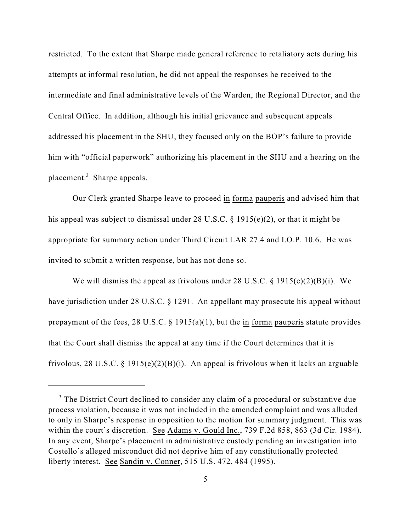restricted. To the extent that Sharpe made general reference to retaliatory acts during his attempts at informal resolution, he did not appeal the responses he received to the intermediate and final administrative levels of the Warden, the Regional Director, and the Central Office. In addition, although his initial grievance and subsequent appeals addressed his placement in the SHU, they focused only on the BOP's failure to provide him with "official paperwork" authorizing his placement in the SHU and a hearing on the placement.<sup>3</sup> Sharpe appeals.

Our Clerk granted Sharpe leave to proceed in forma pauperis and advised him that his appeal was subject to dismissal under 28 U.S.C. § 1915(e)(2), or that it might be appropriate for summary action under Third Circuit LAR 27.4 and I.O.P. 10.6. He was invited to submit a written response, but has not done so.

We will dismiss the appeal as frivolous under 28 U.S.C. § 1915(e)(2)(B)(i). We have jurisdiction under 28 U.S.C. § 1291. An appellant may prosecute his appeal without prepayment of the fees, 28 U.S.C.  $\S$  1915(a)(1), but the in forma pauperis statute provides that the Court shall dismiss the appeal at any time if the Court determines that it is frivolous, 28 U.S.C. § 1915(e)(2)(B)(i). An appeal is frivolous when it lacks an arguable

<sup>&</sup>lt;sup>3</sup> The District Court declined to consider any claim of a procedural or substantive due process violation, because it was not included in the amended complaint and was alluded to only in Sharpe's response in opposition to the motion for summary judgment. This was within the court's discretion. See Adams v. Gould Inc., 739 F.2d 858, 863 (3d Cir. 1984). In any event, Sharpe's placement in administrative custody pending an investigation into Costello's alleged misconduct did not deprive him of any constitutionally protected liberty interest. See Sandin v. Conner, 515 U.S. 472, 484 (1995).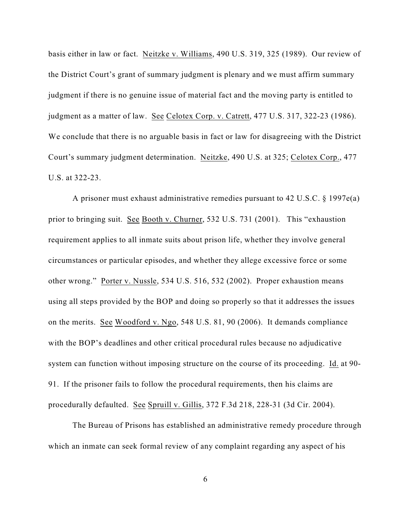basis either in law or fact. Neitzke v. Williams, 490 U.S. 319, 325 (1989). Our review of the District Court's grant of summary judgment is plenary and we must affirm summary judgment if there is no genuine issue of material fact and the moving party is entitled to judgment as a matter of law. See Celotex Corp. v. Catrett, 477 U.S. 317, 322-23 (1986). We conclude that there is no arguable basis in fact or law for disagreeing with the District Court's summary judgment determination. Neitzke, 490 U.S. at 325; Celotex Corp., 477 U.S. at 322-23.

A prisoner must exhaust administrative remedies pursuant to 42 U.S.C. § 1997e(a) prior to bringing suit. See Booth v. Churner, 532 U.S. 731 (2001). This "exhaustion requirement applies to all inmate suits about prison life, whether they involve general circumstances or particular episodes, and whether they allege excessive force or some other wrong." Porter v. Nussle, 534 U.S. 516, 532 (2002). Proper exhaustion means using all steps provided by the BOP and doing so properly so that it addresses the issues on the merits. See Woodford v. Ngo, 548 U.S. 81, 90 (2006). It demands compliance with the BOP's deadlines and other critical procedural rules because no adjudicative system can function without imposing structure on the course of its proceeding. Id. at 90- 91. If the prisoner fails to follow the procedural requirements, then his claims are procedurally defaulted. See Spruill v. Gillis, 372 F.3d 218, 228-31 (3d Cir. 2004).

The Bureau of Prisons has established an administrative remedy procedure through which an inmate can seek formal review of any complaint regarding any aspect of his